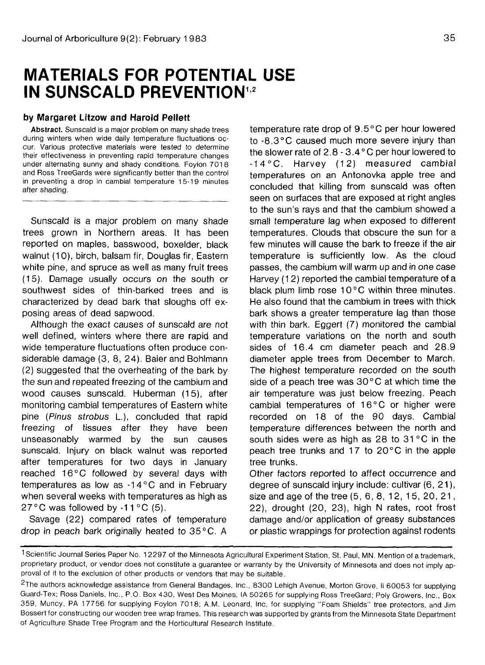## **MATERIALS FOR POTENTIAL USE IN SUNSCALD PREVENTION<sup>12</sup>**

## **by Margaret Litzow and Harold Pellett**

**Abstract.** Sunscald is a major problem on many shade trees during winters when wide daily temperature fluctuations occur. Various protective materials were tested to determine their effectiveness in preventing rapid temperature changes under alternating sunny and shady conditions. Foylon 7018 and Ross TreeGards were significantly better than the control in preventing a drop in cambial temperature 15-19 minutes after shading.

Sunscald is a major problem on many shade trees grown in Northern areas. It has been reported on maples, basswood, boxelder, black walnut (10), birch, balsam fir, Douglas fir, Eastern white pine, and spruce as well as many fruit trees (15). Damage usually occurs on the south or southwest sides of thin-barked trees and is characterized by dead bark that sloughs off exposing areas of dead sapwood.

Although the exact causes of sunscald are not well defined, winters where there are rapid and wide temperature fluctuations often produce considerable damage (3, 8, 24). Baier and Bohlmann (2) suggested that the overheating of the bark by the sun and repeated freezing of the cambium and wood causes sunscald. Huberman (15), after monitoring cambial temperatures of Eastern white pine (Pinus strobus L), concluded that rapid freezing of tissues after they have been unseasonably warmed by the sun causes sunscald. Injury on black walnut was reported after temperatures for two days in January reached 16°C followed by several days with temperatures as low as -14°C and in February when several weeks with temperatures as high as 27 $\degree$ C was followed by -11 $\degree$ C (5).

Savage (22) compared rates of temperature drop in peach bark originally heated to 35 °C. A temperature rate drop of 9.5°C per hour lowered to -8.3°C caused much more severe injury than the slower rate of 2.8 - 3.4°C per hour lowered to -14°C. Harvey (12) measured cambial temperatures on an Antonovka apple tree and concluded that killing from sunscald was often seen on surfaces that are exposed at right angles to the sun's rays and that the cambium showed a small temperature lag when exposed to different temperatures. Clouds that obscure the sun for a few minutes will cause the bark to freeze if the air temperature is sufficiently low. As the cloud passes, the cambium will warm up and in one case Harvey (1 2) reported the cambial temperature of a black plum limb rose 10°C within three minutes. He also found that the cambium in trees with thick bark shows a greater temperature lag than those with thin bark. Eggert (7) monitored the cambial temperature variations on the north and south sides of 16.4 cm diameter peach and 28.9 diameter apple trees from December to March. The highest temperature recorded on the south side of a peach tree was  $30^{\circ}$ C at which time the air temperature was just below freezing. Peach cambial temperatures of 16°C or higher were recorded on 18 of the 90 days. Cambial temperature differences between the north and south sides were as high as 28 to 31 °C in the pound slues were as ingli as 20 to 01 °C in the space peach tree trunks and 17 to 20°C in the apple<br>tree trunks.

Other factors reported to affect occurrence and degree of sunscald injury include: cultivar (6, 21), size and age of the tree  $(5, 6, 8, 12, 15, 20, 21,$ 22), drought (20, 23), high N rates, root frost damage and/or application of greasy substances or plastic wrappings for protection against rodents

<sup>1</sup> Scientific Journal Series Paper No. 1 2297 of the Minnesota Agricultural Experiment Station, St. Paul, MN. Mention of a trademark, proprietary product, or vendor does not constitute a guarantee or warranty by the University of Minnesota and does not imply approval of it to the exclusion of other products or vendors that may be suitable.

<sup>2</sup> The authors acknowledge assistance from General Bandages, Inc., 8300 Lehigh Avenue, Morton Grove, II 60053 for supplying Guard-Tex; Ross Daniels, Inc., P.O. Box 430, West Des Moines, IA 50265 for supplying Ross TreeGard; Poly Growers, Inc., Box 359, Muncy, PA 17756 for supplying Foylon 7018; A.M. Leonard, Inc, for supplying "Foam Shields" tree protectors, and Jim Bossert for constructing our wooden tree wrap frames. This research was supported by grants from the Minnesota State Department of Agriculture Shade Tree Program and the Horticultural Research Institute.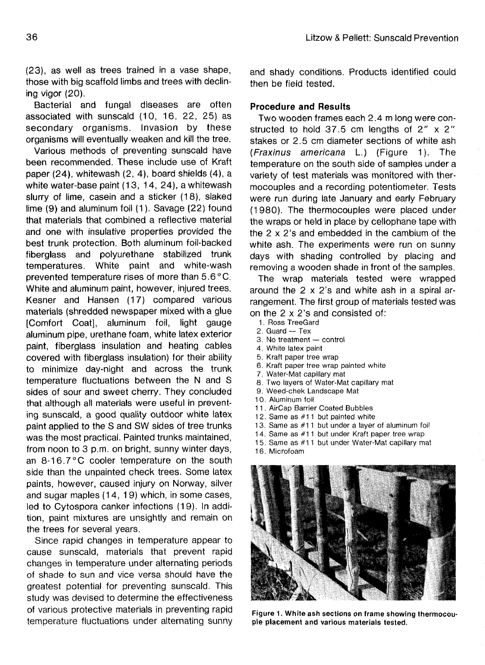(23), as well as trees trained in a vase shape, those with big scaffold limbs and trees with declining vigor (20).

Bacterial and fungal diseases are often associated with sunscald (10, 16, 22, 25) as secondary organisms. Invasion by these organisms will eventually weaken and kill the tree.

Various methods of preventing sunscald have been recommended. These include use of Kraft paper (24), whitewash (2, 4), board shields (4), a white water-base paint (13, 14, 24), a whitewash slurry of lime, casein and a sticker (18), slaked lime (9) and aluminum foil (1). Savage (22) found that materials that combined a reflective material and one with insulative properties provided the best trunk protection. Both aluminum foil-backed fiberglass and polyurethane stabilized trunk temperatures. White paint and white-wash prevented temperature rises of more than 5.6°C. White and aluminum paint, however, injured trees. Kesner and Hansen (17) compared various materials (shredded newspaper mixed with a glue [Comfort Coat], aluminum foil, light gauge aluminum pipe, urethane foam, white latex exterior paint, fiberglass insulation and heating cables covered with fiberglass insulation) for their ability to minimize day-night and across the trunk temperature fluctuations between the N and S sides of sour and sweet cherry. They concluded that although all materials were useful in preventing sunscald, a good quality outdoor white latex paint applied to the S and SW sides of tree trunks was the most practical. Painted trunks maintained, from noon to 3 p.m. on bright, sunny winter days, an 8-16.7°C cooler temperature on the south side than the unpainted check trees. Some latex plus than the unpainted oneon trees. Come later  $p$ anno, nowever, caused injury on norway, silver led to Cytospora canker infections (19). In addited to cytospora cannon milections (19). In addition, paint mixtures are unsightly and remain on the trees for several years.

Since rapid changes in temperature appear to cause sunscald, materials that prevent rapid changes in temperature under alternating periods of shade to sun and vice versa should have the greatest potential for preventing sunscald. This study was devised to determine the effectiveness of various protective materials in preventing rapid temperature fluctuations under alternating sunny

and shady conditions. Products identified could then be field tested.

## **Procedure and Results**

Two wooden frames each 2.4 m long were constructed to hold 37.5 cm lengths of  $2'' \times 2''$ stakes or 2.5 cm diameter sections of white ash (Fraxinus americana L) (Figure 1). The temperature on the south side of samples under a variety of test materials was monitored with thermocouples and a recording potentiometer. Tests were run during late January and early February (1980). The thermocouples were placed under the wraps or held in place by cellophane tape with the 2 x 2's and embedded in the cambium of the white ash. The experiments were run on sunny days with shading controlled by placing and removing a wooden shade in front of the samples.

The wrap materials tested were wrapped around the 2 x 2's and white ash in a spiral arrangement. The first group of materials tested was on the 2 x 2's and consisted of:

- 1. Ross TreeGard
- 2. Guard Tex
- 3. No treatment control
- 4. White latex paint
- 5. Kraft paper tree wrap
- 6. Kraft paper tree wrap painted white
- 7. Water-Mat capillary mat
- 8. Two layers of Water-Mat capillary mat
- 9. Weed-chek Landscape Mat
- 10. Aluminum foil
- 11. AirCap Barrier Coated Bubbles
- 12. Same as  $#11$  but painted white
- 13. Same as #11 but under a layer of aluminum foil
- 14. Same as #11 but under Kraft paper tree wrap
- 15. Same as #11 but under Water-Mat capillary mat
- 16. Microfoam



**Figure 1. White ash sections on frame showing thermocouple placement and various materials tested.**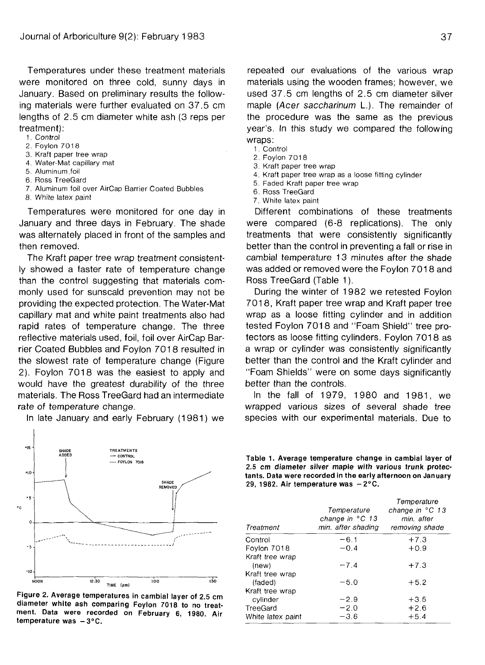Temperatures under these treatment materials were monitored on three cold, sunny days in January. Based on preliminary results the following materials were further evaluated on 37.5 cm lengths of 2.5 cm diameter white ash (3 reps per treatment):

- 1. Control
- 2. Foylon 7018
- 3. Kraft paper tree wrap
- 4. Water-Mat capillary mat
- 5. Aluminum.foil
- 6. Ross TreeGard
- 7. Aluminum foil over AirCap Barrier Coated Bubbles
- 8. White latex paint

Temperatures were monitored for one day in January and three days in February. The shade was alternately placed in front of the samples and then removed.

The Kraft paper tree wrap treatment consistently showed a faster rate of temperature change than the control suggesting that materials commonly used for sunscald prevention may not be providing the expected protection. The Water-Mat capillary mat and white paint treatments also had rapid rates of temperature change. The three reflective materials used, foil, foil over AirCap Barrier Coated Bubbles and Foylon 7018 resulted in the slowest rate of temperature change (Figure 2). Foylon 7018 was the easiest to apply and would have the greatest durability of the three materials. The Ross TreeGard had an intermediate rate of temperature change.

In late January and early February (1981) we



**Figure 2. Average temperatures in cambial layer of 2.5 cm diameter white ash comparing Foylon 7018 to no treatment. Data were recorded on February 6, 1980. Air** temperature was  $-3^{\circ}$ C.

repeated our evaluations of the various wrap materials using the wooden frames; however, we used 37.5 cm lengths of 2.5 cm diameter silver maple (Acer saccharinum L.). The remainder of the procedure was the same as the previous year's. In this study we compared the following wraps:

- 1. Control
- 2. Foylon 7018
- 3. Kraft paper tree wrap
- 4. Kraft paper tree wrap as a loose fitting cylinder
- 5. Faded Kraft paper tree wrap
- 6. Ross TreeGard
- 7. White latex paint

Different combinations of these treatments were compared (6-8 replications). The only treatments that were consistently significantly better than the control in preventing a fall or rise in cambial temperature 13 minutes after the shade was added or removed were the Foylon 7018 and Ross TreeGard (Table 1).

During the winter of 1982 we retested Foylon 701 8, Kraft paper tree wrap and Kraft paper tree wrap as a loose fitting cylinder and in addition tested Foylon 7018 and "Foam Shield" tree protectors as loose fitting cylinders. Foylon 7018 as a wrap or cylinder was consistently significantly better than the control and the Kraft cylinder and "Foam Shields" were on some days significantly better than the controls.

In the fall of 1979, 1980 and 1981, we wrapped various sizes of several shade tree species with our experimental materials. Due to

**Table 1. Average temperature change in cambial layer of 2.5 cm diameter silver maple with various trunk protectants. Data were recorded in the early afternoon on January 29, 1982. Air temperature was -2°C.**

| Treatment                   | Temperature<br>change in $^{\circ}$ C 13<br>min. after shading | Temperature<br>change in $°C$ 13<br>min, after<br>removing shade |
|-----------------------------|----------------------------------------------------------------|------------------------------------------------------------------|
| Control                     | $-61$                                                          | $+7.3$                                                           |
| Foylon 7018                 | $-0.4$                                                         | $+0.9$                                                           |
| Kraft tree wrap<br>(new)    | $-7.4$                                                         | $+7.3$                                                           |
| Kraft tree wrap<br>(faded)  | $-5.0$                                                         | $+5.2$                                                           |
| Kraft tree wrap<br>cylinder | $-2.9$                                                         | $+3.5$                                                           |
| TreeGard                    | $-2.0$                                                         | $+2.6$                                                           |
| White latex paint           | $-3.6$                                                         | $+5.4$                                                           |